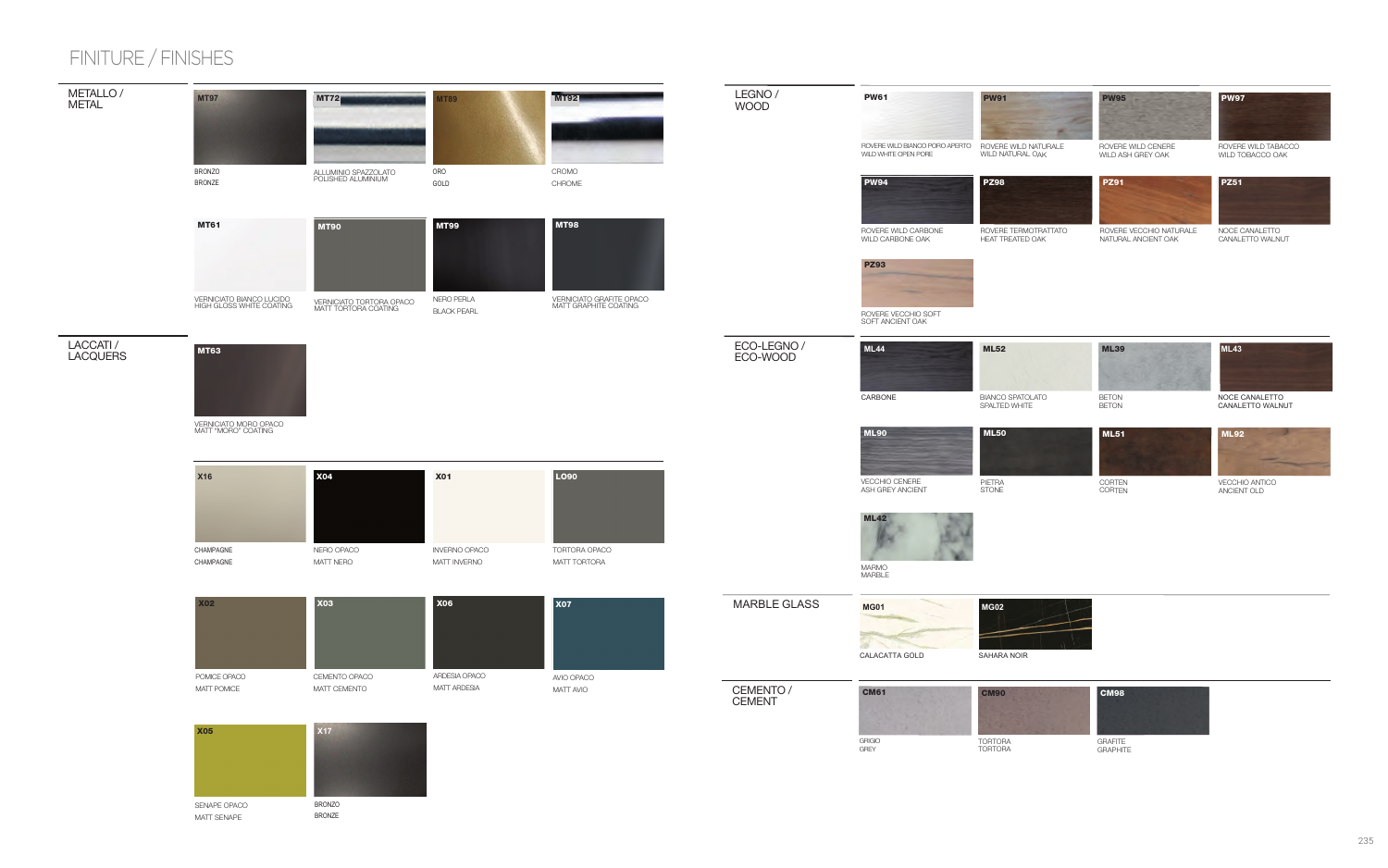### FINITURE / FINISHES



SENAPE OPACO MATT SENAPE

**BRONZO BRONZE**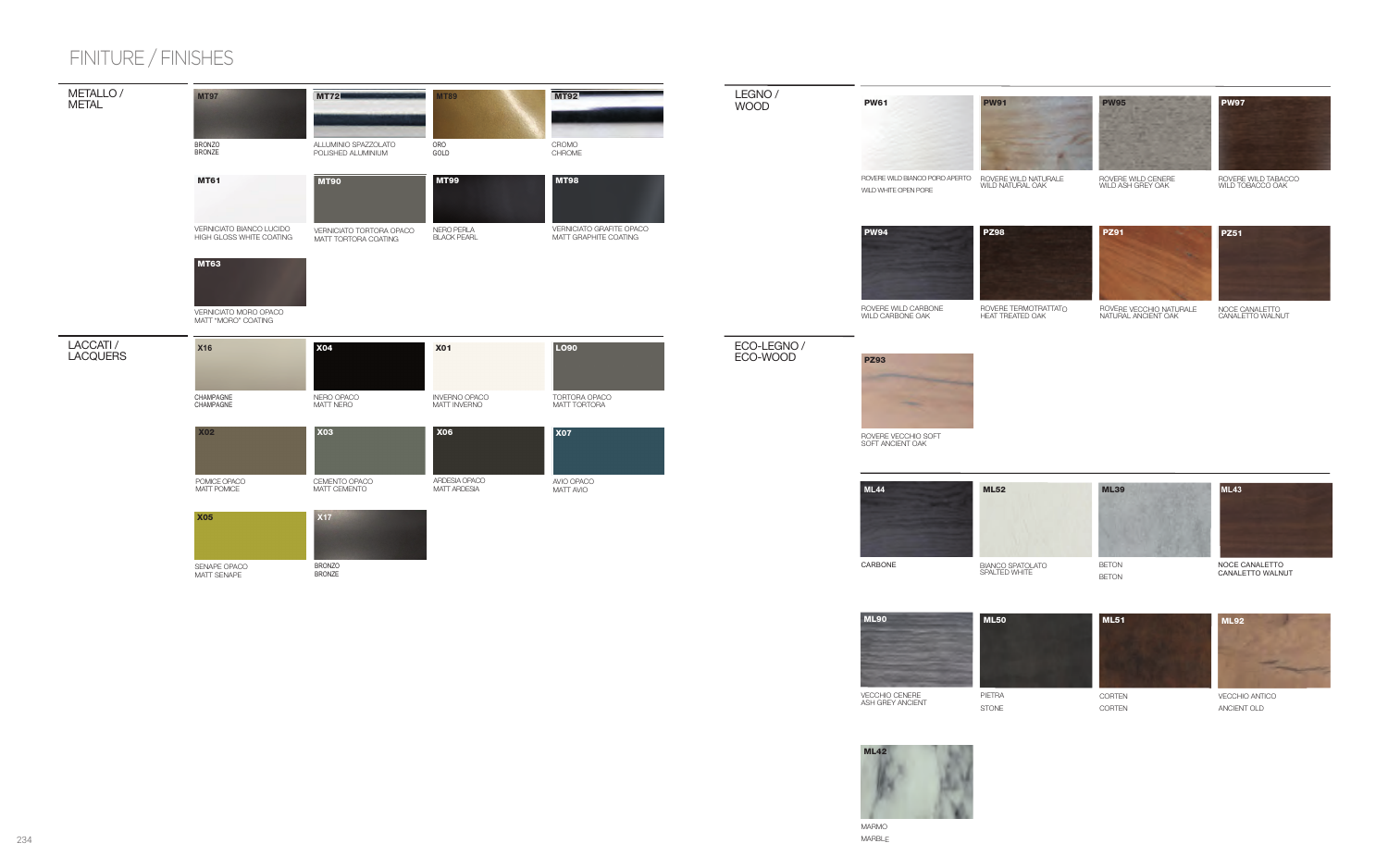#### LEGNO/ **WOOD**

**PW61** 



ROVERE WILD NATURALE<br>WILD NATURAL OAK

**PZ98** 

**PW95** 

ROVERE WILD CENERE<br>WILD ASH GREY OAK



ROVERE WILD TABACCO<br>WILD TOBACCO OAK



ROVERE WILD BIANCO PORO APERTO

WILD WHITE OPEN PORE



ROVERE WILD CARBONE<br>WILD CARBONE OAK

ROVERE TERMOTRATTATO<br>HEAT TREATED OAK



ROVERE VECCHIO NATURALE<br>NATURAL ANCIENT OAK



NOCE CANALETTO<br>CANALETTO WALNUT

### ECO-LEGNO / ECO-WOOD

 $\bigcirc$ 



ROVERE VECCHIO SOFT<br>SOFT ANCIENT OAK







**MARMO MARBLE**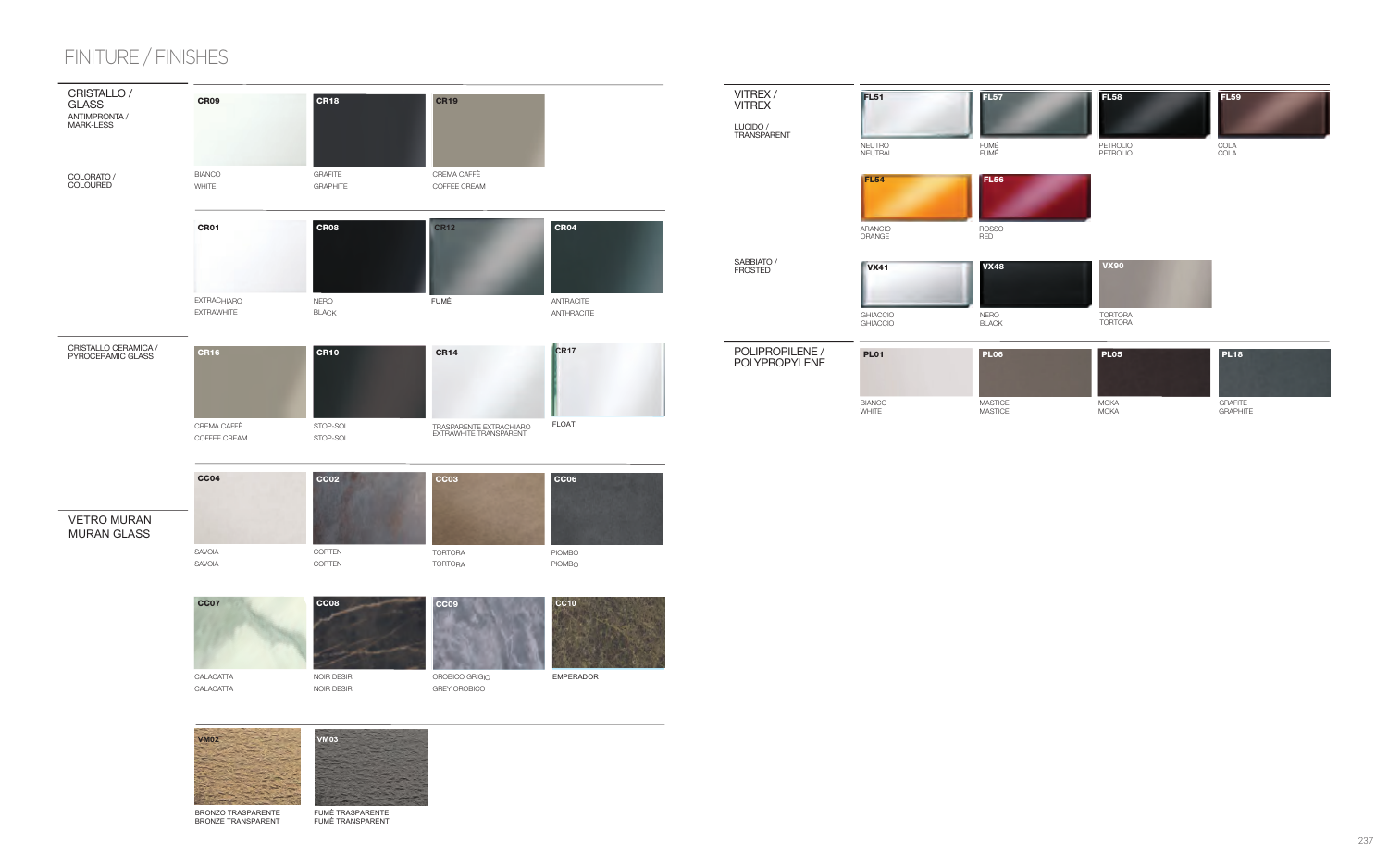# FINITURE / FINISHES



**BRONZE TRANSPARENT** 

FUMÈ TRASPARENTE FUMÈ TRANSPARENT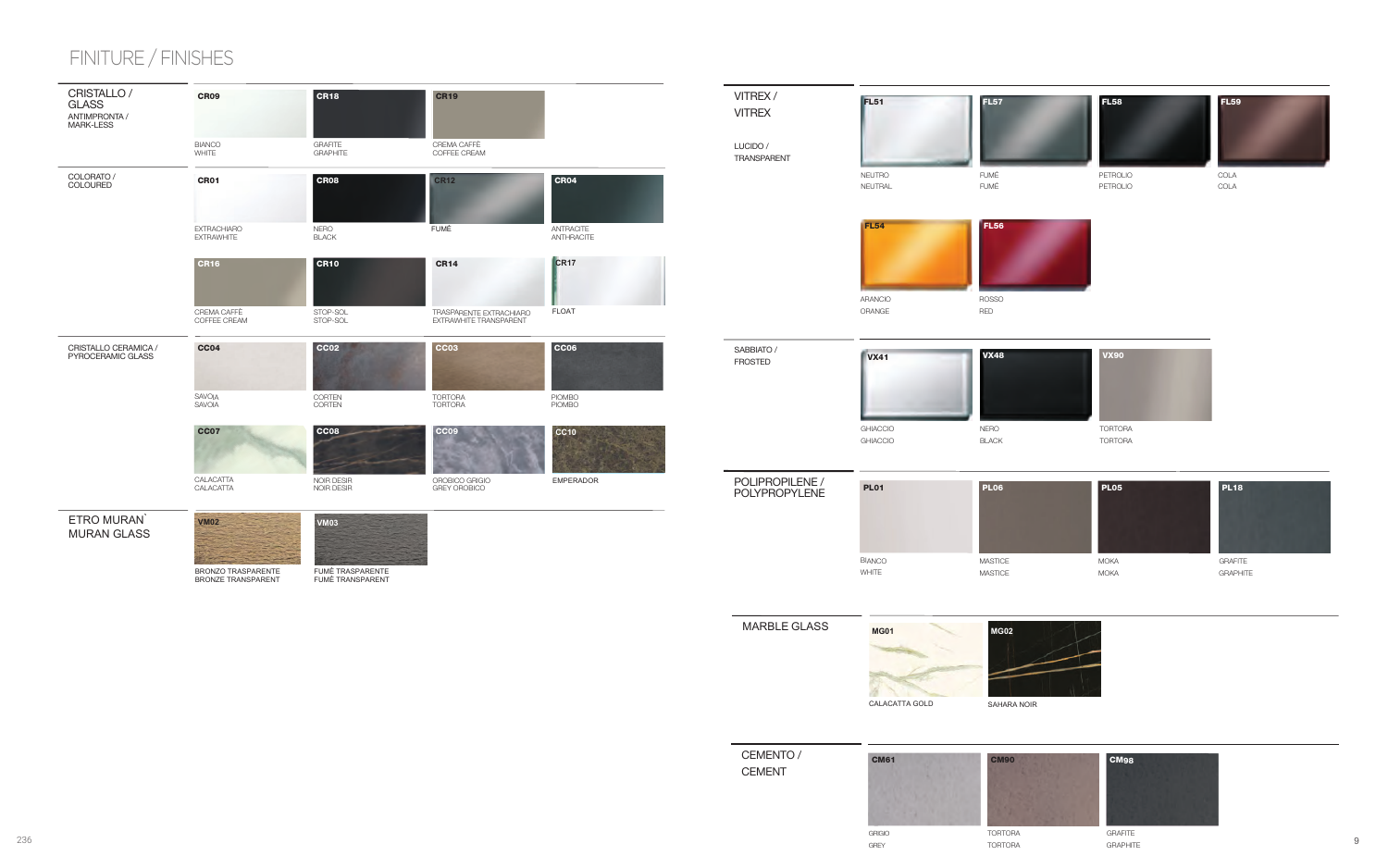

 $\hbox{g}$